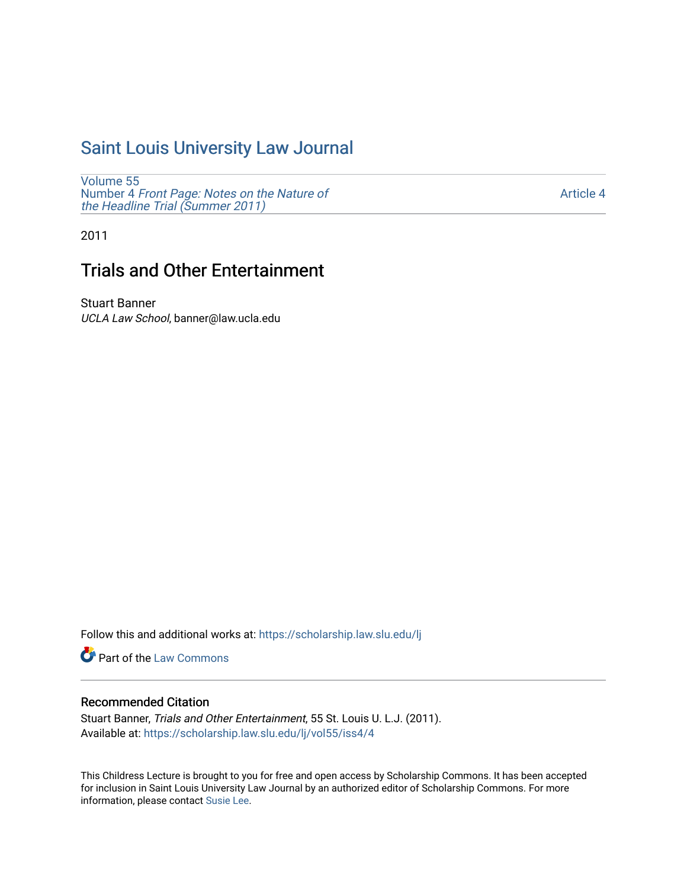## [Saint Louis University Law Journal](https://scholarship.law.slu.edu/lj)

[Volume 55](https://scholarship.law.slu.edu/lj/vol55) Number 4 [Front Page: Notes on the Nature of](https://scholarship.law.slu.edu/lj/vol55/iss4) [the Headline Trial \(Summer 2011\)](https://scholarship.law.slu.edu/lj/vol55/iss4)

[Article 4](https://scholarship.law.slu.edu/lj/vol55/iss4/4) 

2011

# Trials and Other Entertainment

Stuart Banner UCLA Law School, banner@law.ucla.edu

Follow this and additional works at: [https://scholarship.law.slu.edu/lj](https://scholarship.law.slu.edu/lj?utm_source=scholarship.law.slu.edu%2Flj%2Fvol55%2Fiss4%2F4&utm_medium=PDF&utm_campaign=PDFCoverPages) 

Part of the [Law Commons](http://network.bepress.com/hgg/discipline/578?utm_source=scholarship.law.slu.edu%2Flj%2Fvol55%2Fiss4%2F4&utm_medium=PDF&utm_campaign=PDFCoverPages)

## Recommended Citation

Stuart Banner, Trials and Other Entertainment, 55 St. Louis U. L.J. (2011). Available at: [https://scholarship.law.slu.edu/lj/vol55/iss4/4](https://scholarship.law.slu.edu/lj/vol55/iss4/4?utm_source=scholarship.law.slu.edu%2Flj%2Fvol55%2Fiss4%2F4&utm_medium=PDF&utm_campaign=PDFCoverPages) 

This Childress Lecture is brought to you for free and open access by Scholarship Commons. It has been accepted for inclusion in Saint Louis University Law Journal by an authorized editor of Scholarship Commons. For more information, please contact [Susie Lee](mailto:susie.lee@slu.edu).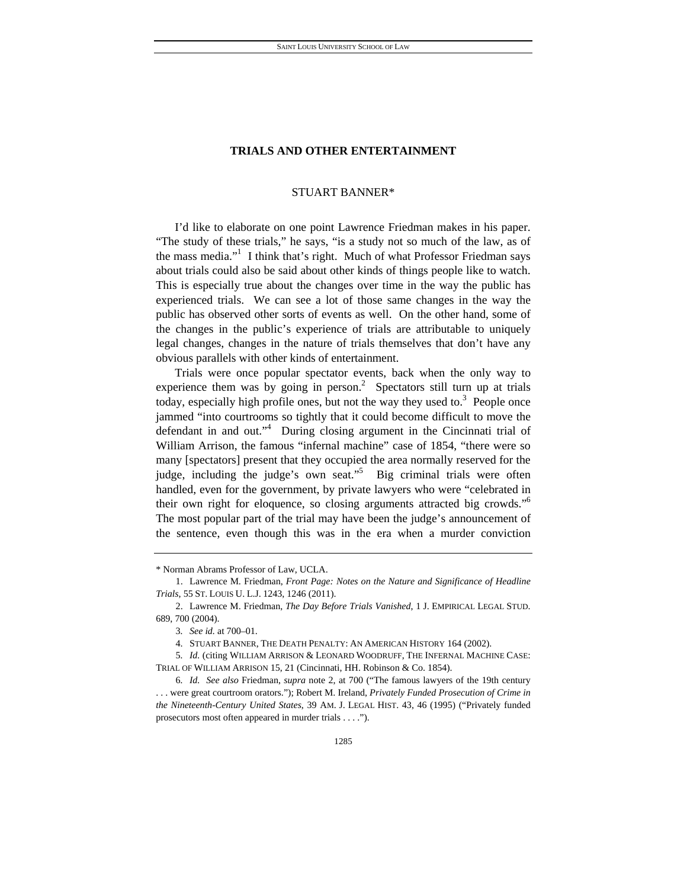## **TRIALS AND OTHER ENTERTAINMENT**

## STUART BANNER\*

I'd like to elaborate on one point Lawrence Friedman makes in his paper. "The study of these trials," he says, "is a study not so much of the law, as of the mass media."<sup>1</sup> I think that's right. Much of what Professor Friedman says about trials could also be said about other kinds of things people like to watch. This is especially true about the changes over time in the way the public has experienced trials. We can see a lot of those same changes in the way the public has observed other sorts of events as well. On the other hand, some of the changes in the public's experience of trials are attributable to uniquely legal changes, changes in the nature of trials themselves that don't have any obvious parallels with other kinds of entertainment.

Trials were once popular spectator events, back when the only way to experience them was by going in person.<sup>2</sup> Spectators still turn up at trials today, especially high profile ones, but not the way they used to.<sup>3</sup> People once jammed "into courtrooms so tightly that it could become difficult to move the defendant in and out."<sup>4</sup> During closing argument in the Cincinnati trial of William Arrison, the famous "infernal machine" case of 1854, "there were so many [spectators] present that they occupied the area normally reserved for the judge, including the judge's own seat."<sup>5</sup> Big criminal trials were often handled, even for the government, by private lawyers who were "celebrated in their own right for eloquence, so closing arguments attracted big crowds."<sup>6</sup> The most popular part of the trial may have been the judge's announcement of the sentence, even though this was in the era when a murder conviction

<sup>\*</sup> Norman Abrams Professor of Law, UCLA.

 <sup>1.</sup> Lawrence M. Friedman, *Front Page: Notes on the Nature and Significance of Headline Trials*, 55 ST. LOUIS U. L.J. 1243, 1246 (2011).

 <sup>2.</sup> Lawrence M. Friedman, *The Day Before Trials Vanished*, 1 J. EMPIRICAL LEGAL STUD. 689, 700 (2004).

<sup>3</sup>*. See id.* at 700–01.

 <sup>4.</sup> STUART BANNER, THE DEATH PENALTY: AN AMERICAN HISTORY 164 (2002).

<sup>5</sup>*. Id.* (citing WILLIAM ARRISON & LEONARD WOODRUFF, THE INFERNAL MACHINE CASE: TRIAL OF WILLIAM ARRISON 15, 21 (Cincinnati, HH. Robinson & Co. 1854).

<sup>6</sup>*. Id. See also* Friedman, *supra* note 2, at 700 ("The famous lawyers of the 19th century . . . were great courtroom orators."); Robert M. Ireland, *Privately Funded Prosecution of Crime in the Nineteenth-Century United States*, 39 AM. J. LEGAL HIST. 43, 46 (1995) ("Privately funded prosecutors most often appeared in murder trials . . . .").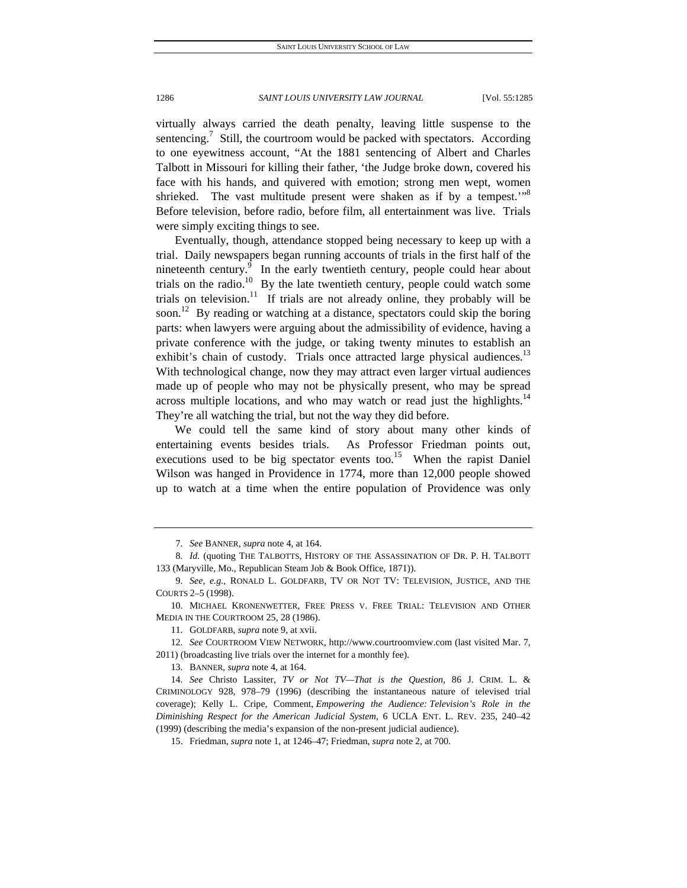virtually always carried the death penalty, leaving little suspense to the sentencing.<sup>7</sup> Still, the courtroom would be packed with spectators. According to one eyewitness account, "At the 1881 sentencing of Albert and Charles Talbott in Missouri for killing their father, 'the Judge broke down, covered his face with his hands, and quivered with emotion; strong men wept, women shrieked. The vast multitude present were shaken as if by a tempest."<sup>8</sup> Before television, before radio, before film, all entertainment was live. Trials were simply exciting things to see.

Eventually, though, attendance stopped being necessary to keep up with a trial. Daily newspapers began running accounts of trials in the first half of the nineteenth century. $9$  In the early twentieth century, people could hear about trials on the radio.<sup>10</sup> By the late twentieth century, people could watch some trials on television.<sup>11</sup> If trials are not already online, they probably will be soon.<sup>12</sup> By reading or watching at a distance, spectators could skip the boring parts: when lawyers were arguing about the admissibility of evidence, having a private conference with the judge, or taking twenty minutes to establish an exhibit's chain of custody. Trials once attracted large physical audiences.<sup>13</sup> With technological change, now they may attract even larger virtual audiences made up of people who may not be physically present, who may be spread across multiple locations, and who may watch or read just the highlights. $14$ They're all watching the trial, but not the way they did before.

We could tell the same kind of story about many other kinds of entertaining events besides trials. As Professor Friedman points out, executions used to be big spectator events too.<sup>15</sup> When the rapist Daniel Wilson was hanged in Providence in 1774, more than 12,000 people showed up to watch at a time when the entire population of Providence was only

<sup>7</sup>*. See* BANNER, *supra* note 4, at 164.

<sup>8</sup>*. Id.* (quoting THE TALBOTTS, HISTORY OF THE ASSASSINATION OF DR. P. H. TALBOTT 133 (Maryville, Mo., Republican Steam Job & Book Office, 1871)).

<sup>9</sup>*. See, e.g.*, RONALD L. GOLDFARB, TV OR NOT TV: TELEVISION, JUSTICE, AND THE COURTS 2–5 (1998).

 <sup>10.</sup> MICHAEL KRONENWETTER, FREE PRESS V. FREE TRIAL: TELEVISION AND OTHER MEDIA IN THE COURTROOM 25, 28 (1986).

 <sup>11.</sup> GOLDFARB, *supra* note 9, at xvii.

<sup>12</sup>*. See* COURTROOM VIEW NETWORK, http://www.courtroomview.com (last visited Mar. 7, 2011) (broadcasting live trials over the internet for a monthly fee).

 <sup>13.</sup> BANNER, *supra* note 4, at 164.

<sup>14</sup>*. See* Christo Lassiter, *TV or Not TV—That is the Question*, 86 J. CRIM. L. & CRIMINOLOGY 928, 978–79 (1996) (describing the instantaneous nature of televised trial coverage); Kelly L. Cripe, Comment, *Empowering the Audience: Television's Role in the Diminishing Respect for the American Judicial System*, 6 UCLA ENT. L. REV. 235, 240–42 (1999) (describing the media's expansion of the non-present judicial audience).

 <sup>15.</sup> Friedman, *supra* note 1, at 1246–47; Friedman, *supra* note 2, at 700.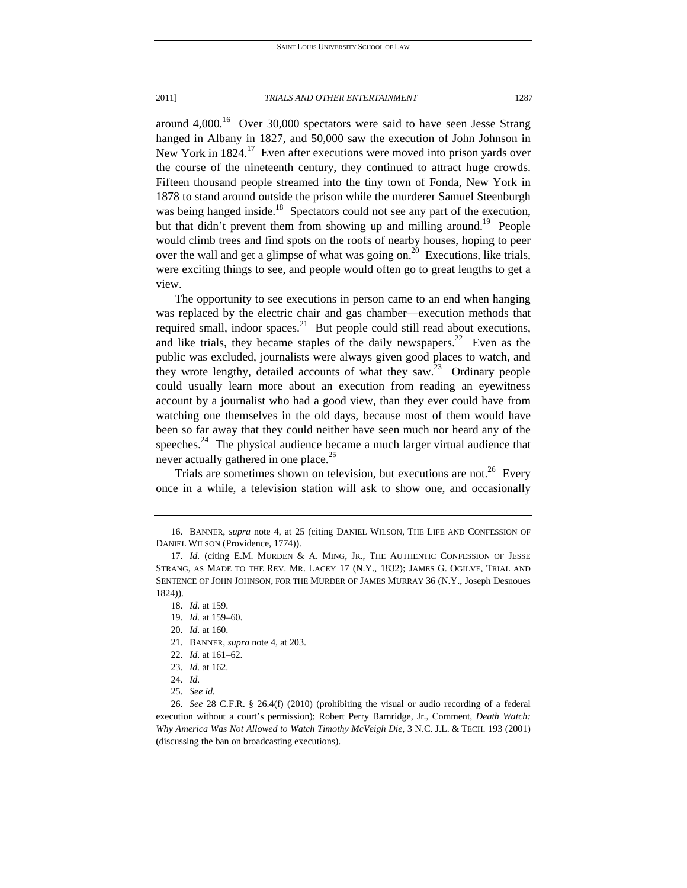2011] *TRIALS AND OTHER ENTERTAINMENT* 1287

around  $4,000$ .<sup>16</sup> Over 30,000 spectators were said to have seen Jesse Strang hanged in Albany in 1827, and 50,000 saw the execution of John Johnson in New York in  $1824$ .<sup>17</sup> Even after executions were moved into prison yards over the course of the nineteenth century, they continued to attract huge crowds. Fifteen thousand people streamed into the tiny town of Fonda, New York in 1878 to stand around outside the prison while the murderer Samuel Steenburgh was being hanged inside.<sup>18</sup> Spectators could not see any part of the execution, but that didn't prevent them from showing up and milling around.<sup>19</sup> People would climb trees and find spots on the roofs of nearby houses, hoping to peer over the wall and get a glimpse of what was going on.<sup>20</sup> Executions, like trials, were exciting things to see, and people would often go to great lengths to get a view.

The opportunity to see executions in person came to an end when hanging was replaced by the electric chair and gas chamber—execution methods that required small, indoor spaces. $^{21}$  But people could still read about executions, and like trials, they became staples of the daily newspapers.<sup>22</sup> Even as the public was excluded, journalists were always given good places to watch, and they wrote lengthy, detailed accounts of what they saw.<sup>23</sup> Ordinary people could usually learn more about an execution from reading an eyewitness account by a journalist who had a good view, than they ever could have from watching one themselves in the old days, because most of them would have been so far away that they could neither have seen much nor heard any of the speeches. $24$  The physical audience became a much larger virtual audience that never actually gathered in one place.<sup>25</sup>

Trials are sometimes shown on television, but executions are not.<sup>26</sup> Every once in a while, a television station will ask to show one, and occasionally

- 21. BANNER, *supra* note 4, at 203.
- 22*. Id.* at 161–62.
- 23*. Id.* at 162.
- 24*. Id.*
- 25*. See id.*

26*. See* 28 C.F.R. § 26.4(f) (2010) (prohibiting the visual or audio recording of a federal execution without a court's permission); Robert Perry Barnridge, Jr., Comment, *Death Watch: Why America Was Not Allowed to Watch Timothy McVeigh Die*, 3 N.C. J.L. & TECH. 193 (2001) (discussing the ban on broadcasting executions).

 <sup>16.</sup> BANNER, *supra* note 4, at 25 (citing DANIEL WILSON, THE LIFE AND CONFESSION OF DANIEL WILSON (Providence, 1774)).

<sup>17.</sup> Id. (citing E.M. MURDEN & A. MING, JR., THE AUTHENTIC CONFESSION OF JESSE STRANG, AS MADE TO THE REV. MR. LACEY 17 (N.Y., 1832); JAMES G. OGILVE, TRIAL AND SENTENCE OF JOHN JOHNSON, FOR THE MURDER OF JAMES MURRAY 36 (N.Y., Joseph Desnoues 1824)).

<sup>18</sup>*. Id.* at 159.

<sup>19</sup>*. Id.* at 159–60.

<sup>20</sup>*. Id.* at 160.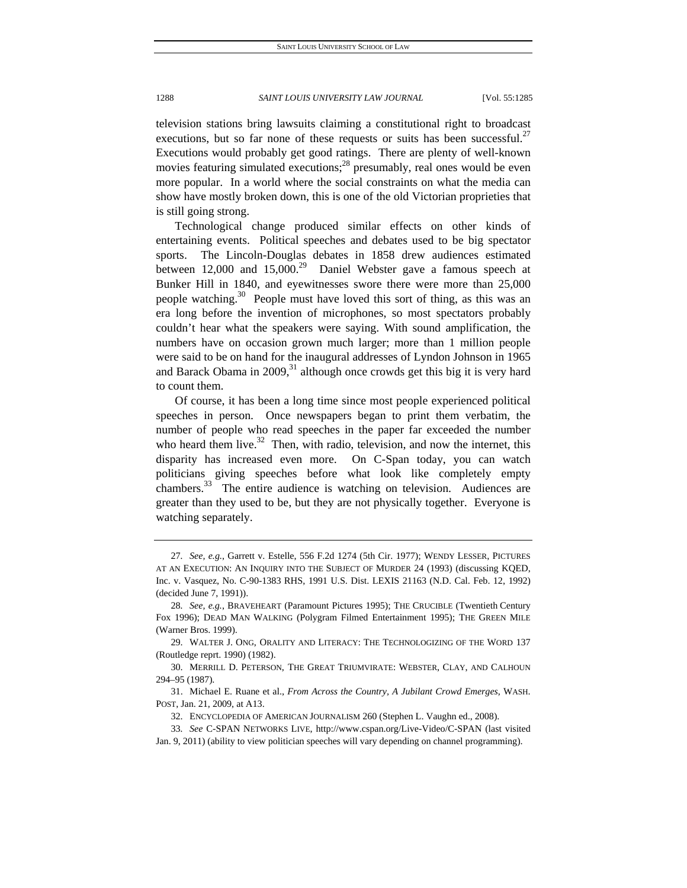television stations bring lawsuits claiming a constitutional right to broadcast executions, but so far none of these requests or suits has been successful.<sup>27</sup> Executions would probably get good ratings. There are plenty of well-known movies featuring simulated executions;<sup>28</sup> presumably, real ones would be even more popular. In a world where the social constraints on what the media can show have mostly broken down, this is one of the old Victorian proprieties that is still going strong.

Technological change produced similar effects on other kinds of entertaining events. Political speeches and debates used to be big spectator sports. The Lincoln-Douglas debates in 1858 drew audiences estimated between 12,000 and 15,000.<sup>29</sup> Daniel Webster gave a famous speech at Bunker Hill in 1840, and eyewitnesses swore there were more than 25,000 people watching.<sup>30</sup> People must have loved this sort of thing, as this was an era long before the invention of microphones, so most spectators probably couldn't hear what the speakers were saying. With sound amplification, the numbers have on occasion grown much larger; more than 1 million people were said to be on hand for the inaugural addresses of Lyndon Johnson in 1965 and Barack Obama in  $2009<sub>1</sub><sup>31</sup>$  although once crowds get this big it is very hard to count them.

Of course, it has been a long time since most people experienced political speeches in person. Once newspapers began to print them verbatim, the number of people who read speeches in the paper far exceeded the number who heard them live.<sup>32</sup> Then, with radio, television, and now the internet, this disparity has increased even more. On C-Span today, you can watch politicians giving speeches before what look like completely empty chambers. $33$  The entire audience is watching on television. Audiences are greater than they used to be, but they are not physically together. Everyone is watching separately.

<sup>27</sup>*. See, e.g.*, Garrett v. Estelle, 556 F.2d 1274 (5th Cir. 1977); WENDY LESSER, PICTURES AT AN EXECUTION: AN INQUIRY INTO THE SUBJECT OF MURDER 24 (1993) (discussing KQED, Inc. v. Vasquez, No. C-90-1383 RHS, 1991 U.S. Dist. LEXIS 21163 (N.D. Cal. Feb. 12, 1992) (decided June 7, 1991)).

<sup>28</sup>*. See, e.g.*, BRAVEHEART (Paramount Pictures 1995); THE CRUCIBLE (Twentieth Century Fox 1996); DEAD MAN WALKING (Polygram Filmed Entertainment 1995); THE GREEN MILE (Warner Bros. 1999).

 <sup>29.</sup> WALTER J. ONG, ORALITY AND LITERACY: THE TECHNOLOGIZING OF THE WORD 137 (Routledge reprt. 1990) (1982).

 <sup>30.</sup> MERRILL D. PETERSON, THE GREAT TRIUMVIRATE: WEBSTER, CLAY, AND CALHOUN 294–95 (1987).

 <sup>31.</sup> Michael E. Ruane et al., *From Across the Country, A Jubilant Crowd Emerges*, WASH. POST, Jan. 21, 2009, at A13.

 <sup>32.</sup> ENCYCLOPEDIA OF AMERICAN JOURNALISM 260 (Stephen L. Vaughn ed., 2008).

<sup>33</sup>*. See* C-SPAN NETWORKS LIVE, http://www.cspan.org/Live-Video/C-SPAN (last visited

Jan. 9, 2011) (ability to view politician speeches will vary depending on channel programming).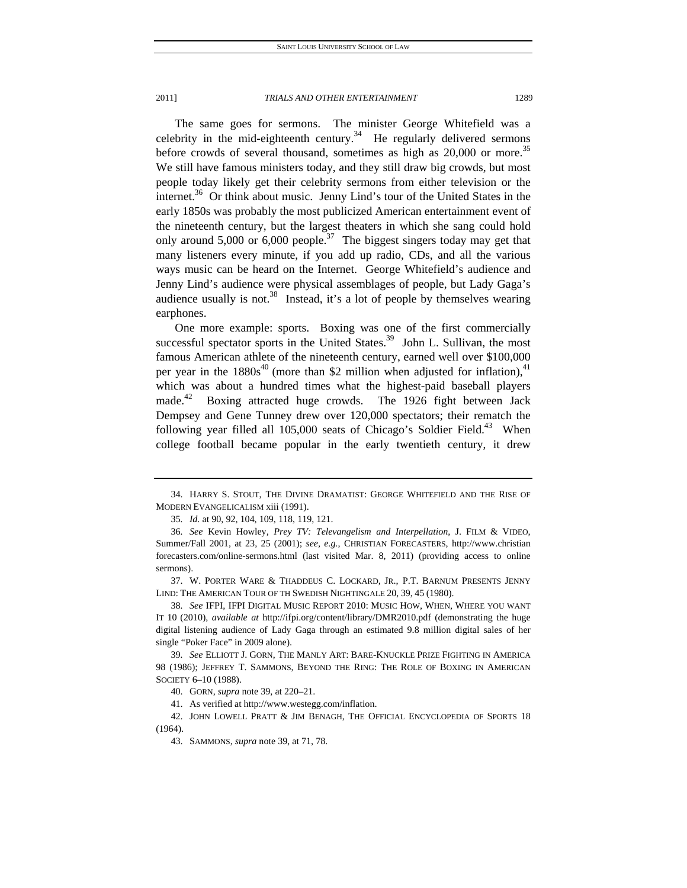#### 2011] *TRIALS AND OTHER ENTERTAINMENT* 1289

The same goes for sermons. The minister George Whitefield was a celebrity in the mid-eighteenth century.<sup>34</sup> He regularly delivered sermons before crowds of several thousand, sometimes as high as  $20,000$  or more.<sup>35</sup> We still have famous ministers today, and they still draw big crowds, but most people today likely get their celebrity sermons from either television or the internet. $36$  Or think about music. Jenny Lind's tour of the United States in the early 1850s was probably the most publicized American entertainment event of the nineteenth century, but the largest theaters in which she sang could hold only around  $5,000$  or  $6,000$  people.<sup>37</sup> The biggest singers today may get that many listeners every minute, if you add up radio, CDs, and all the various ways music can be heard on the Internet. George Whitefield's audience and Jenny Lind's audience were physical assemblages of people, but Lady Gaga's audience usually is not.<sup>38</sup> Instead, it's a lot of people by themselves wearing earphones.

One more example: sports. Boxing was one of the first commercially successful spectator sports in the United States.<sup>39</sup> John L. Sullivan, the most famous American athlete of the nineteenth century, earned well over \$100,000 per year in the  $1880s^{40}$  (more than \$2 million when adjusted for inflation),<sup>41</sup> which was about a hundred times what the highest-paid baseball players made.<sup>42</sup> Boxing attracted huge crowds. The 1926 fight between Jack Dempsey and Gene Tunney drew over 120,000 spectators; their rematch the following year filled all  $105,000$  seats of Chicago's Soldier Field.<sup>43</sup> When college football became popular in the early twentieth century, it drew

35*. Id.* at 90, 92, 104, 109, 118, 119, 121.

 <sup>34.</sup> HARRY S. STOUT, THE DIVINE DRAMATIST: GEORGE WHITEFIELD AND THE RISE OF MODERN EVANGELICALISM xiii (1991).

<sup>36</sup>*. See* Kevin Howley, *Prey TV: Televangelism and Interpellation*, J. FILM & VIDEO, Summer/Fall 2001, at 23, 25 (2001); *see, e.g.*, CHRISTIAN FORECASTERS, http://www.christian forecasters.com/online-sermons.html (last visited Mar. 8, 2011) (providing access to online sermons).

 <sup>37.</sup> W. PORTER WARE & THADDEUS C. LOCKARD, JR., P.T. BARNUM PRESENTS JENNY LIND: THE AMERICAN TOUR OF TH SWEDISH NIGHTINGALE 20, 39, 45 (1980).

<sup>38</sup>*. See* IFPI, IFPI DIGITAL MUSIC REPORT 2010: MUSIC HOW, WHEN, WHERE YOU WANT IT 10 (2010), *available at* http://ifpi.org/content/library/DMR2010.pdf (demonstrating the huge digital listening audience of Lady Gaga through an estimated 9.8 million digital sales of her single "Poker Face" in 2009 alone).

<sup>39</sup>*. See* ELLIOTT J. GORN, THE MANLY ART: BARE-KNUCKLE PRIZE FIGHTING IN AMERICA 98 (1986); JEFFREY T. SAMMONS, BEYOND THE RING: THE ROLE OF BOXING IN AMERICAN SOCIETY 6–10 (1988).

 <sup>40.</sup> GORN, *supra* note 39, at 220–21.

 <sup>41.</sup> As verified at http://www.westegg.com/inflation.

 <sup>42.</sup> JOHN LOWELL PRATT & JIM BENAGH, THE OFFICIAL ENCYCLOPEDIA OF SPORTS 18 (1964).

 <sup>43.</sup> SAMMONS, *supra* note 39, at 71, 78.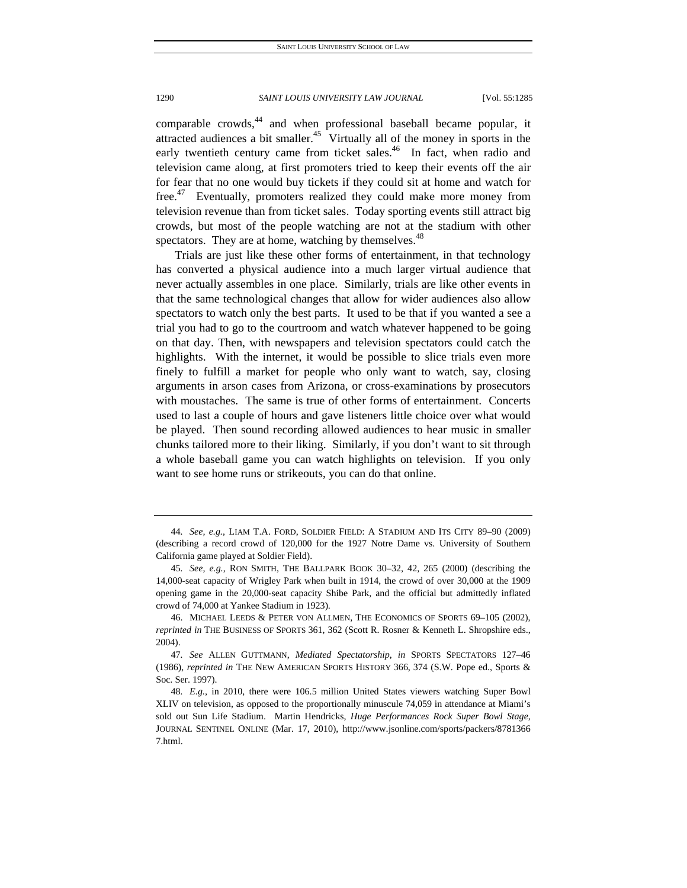comparable crowds, $44$  and when professional baseball became popular, it attracted audiences a bit smaller.<sup>45</sup> Virtually all of the money in sports in the early twentieth century came from ticket sales.<sup>46</sup> In fact, when radio and television came along, at first promoters tried to keep their events off the air for fear that no one would buy tickets if they could sit at home and watch for free.<sup>47</sup> Eventually, promoters realized they could make more money from television revenue than from ticket sales. Today sporting events still attract big crowds, but most of the people watching are not at the stadium with other spectators. They are at home, watching by themselves.<sup>48</sup>

Trials are just like these other forms of entertainment, in that technology has converted a physical audience into a much larger virtual audience that never actually assembles in one place. Similarly, trials are like other events in that the same technological changes that allow for wider audiences also allow spectators to watch only the best parts. It used to be that if you wanted a see a trial you had to go to the courtroom and watch whatever happened to be going on that day. Then, with newspapers and television spectators could catch the highlights. With the internet, it would be possible to slice trials even more finely to fulfill a market for people who only want to watch, say, closing arguments in arson cases from Arizona, or cross-examinations by prosecutors with moustaches. The same is true of other forms of entertainment. Concerts used to last a couple of hours and gave listeners little choice over what would be played. Then sound recording allowed audiences to hear music in smaller chunks tailored more to their liking. Similarly, if you don't want to sit through a whole baseball game you can watch highlights on television. If you only want to see home runs or strikeouts, you can do that online.

<sup>44</sup>*. See, e.g.*, LIAM T.A. FORD, SOLDIER FIELD: A STADIUM AND ITS CITY 89–90 (2009) (describing a record crowd of 120,000 for the 1927 Notre Dame vs. University of Southern California game played at Soldier Field).

<sup>45</sup>*. See, e.g.*, RON SMITH, THE BALLPARK BOOK 30–32, 42, 265 (2000) (describing the 14,000-seat capacity of Wrigley Park when built in 1914, the crowd of over 30,000 at the 1909 opening game in the 20,000-seat capacity Shibe Park, and the official but admittedly inflated crowd of 74,000 at Yankee Stadium in 1923).

 <sup>46.</sup> MICHAEL LEEDS & PETER VON ALLMEN, THE ECONOMICS OF SPORTS 69–105 (2002), *reprinted in* THE BUSINESS OF SPORTS 361, 362 (Scott R. Rosner & Kenneth L. Shropshire eds., 2004).

<sup>47</sup>*. See* ALLEN GUTTMANN, *Mediated Spectatorship*, *in* SPORTS SPECTATORS 127–46 (1986), *reprinted in* THE NEW AMERICAN SPORTS HISTORY 366, 374 (S.W. Pope ed., Sports & Soc. Ser. 1997).

<sup>48</sup>*. E.g.*, in 2010, there were 106.5 million United States viewers watching Super Bowl XLIV on television, as opposed to the proportionally minuscule 74,059 in attendance at Miami's sold out Sun Life Stadium. Martin Hendricks, *Huge Performances Rock Super Bowl Stage*, JOURNAL SENTINEL ONLINE (Mar. 17, 2010), http://www.jsonline.com/sports/packers/8781366 7.html.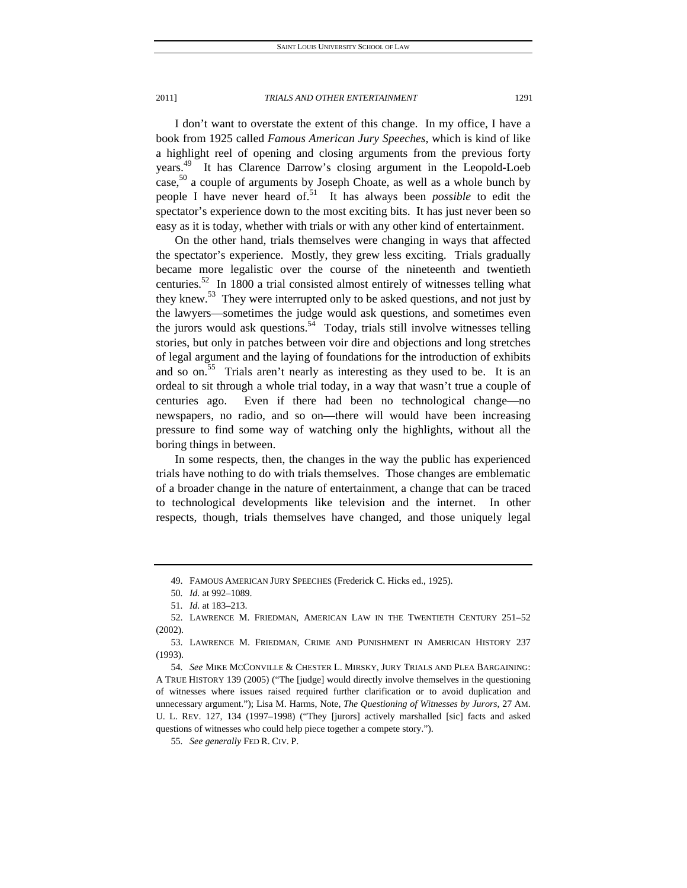2011] *TRIALS AND OTHER ENTERTAINMENT* 1291

I don't want to overstate the extent of this change. In my office, I have a book from 1925 called *Famous American Jury Speeches*, which is kind of like a highlight reel of opening and closing arguments from the previous forty years.<sup>49</sup> It has Clarence Darrow's closing argument in the Leopold-Loeb case,<sup>50</sup> a couple of arguments by Joseph Choate, as well as a whole bunch by people I have never heard of.<sup>51</sup> It has always been *possible* to edit the spectator's experience down to the most exciting bits. It has just never been so easy as it is today, whether with trials or with any other kind of entertainment.

On the other hand, trials themselves were changing in ways that affected the spectator's experience. Mostly, they grew less exciting. Trials gradually became more legalistic over the course of the nineteenth and twentieth centuries. $52$  In 1800 a trial consisted almost entirely of witnesses telling what they knew.<sup>53</sup> They were interrupted only to be asked questions, and not just by the lawyers—sometimes the judge would ask questions, and sometimes even the jurors would ask questions.<sup>54</sup> Today, trials still involve witnesses telling stories, but only in patches between voir dire and objections and long stretches of legal argument and the laying of foundations for the introduction of exhibits and so on.<sup>55</sup> Trials aren't nearly as interesting as they used to be. It is an ordeal to sit through a whole trial today, in a way that wasn't true a couple of centuries ago. Even if there had been no technological change—no newspapers, no radio, and so on—there will would have been increasing pressure to find some way of watching only the highlights, without all the boring things in between.

In some respects, then, the changes in the way the public has experienced trials have nothing to do with trials themselves. Those changes are emblematic of a broader change in the nature of entertainment, a change that can be traced to technological developments like television and the internet. In other respects, though, trials themselves have changed, and those uniquely legal

 <sup>49.</sup> FAMOUS AMERICAN JURY SPEECHES (Frederick C. Hicks ed., 1925).

<sup>50</sup>*. Id.* at 992–1089.

<sup>51</sup>*. Id.* at 183–213.

 <sup>52.</sup> LAWRENCE M. FRIEDMAN, AMERICAN LAW IN THE TWENTIETH CENTURY 251–52 (2002).

 <sup>53.</sup> LAWRENCE M. FRIEDMAN, CRIME AND PUNISHMENT IN AMERICAN HISTORY 237 (1993).

<sup>54</sup>*. See* MIKE MCCONVILLE & CHESTER L. MIRSKY, JURY TRIALS AND PLEA BARGAINING: A TRUE HISTORY 139 (2005) ("The [judge] would directly involve themselves in the questioning of witnesses where issues raised required further clarification or to avoid duplication and unnecessary argument."); Lisa M. Harms, Note, *The Questioning of Witnesses by Jurors*, 27 AM. U. L. REV. 127, 134 (1997–1998) ("They [jurors] actively marshalled [sic] facts and asked questions of witnesses who could help piece together a compete story.").

<sup>55</sup>*. See generally* FED R. CIV. P.